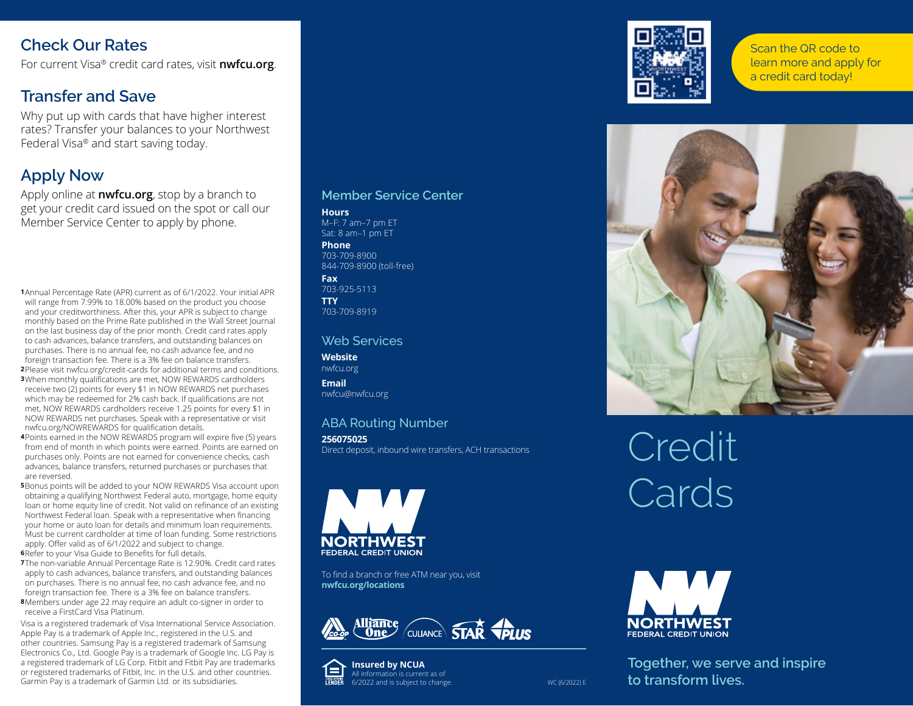# **Check Our Rates**

For current Visa® credit card rates, visit **nwfcu.org**.

# **Transfer and Save**

Why put up with cards that have higher interest rates? Transfer your balances to your Northwest Federal Visa® and start saving today.

# **Apply Now**

Apply online at **nwfcu.org**, stop by a branch to get your credit card issued on the spot or call our Member Service Center to apply by phone.

**1**Annual Percentage Rate (APR) current as of 6/1/2022. Your initial APR will range from 7.99% to 18.00% based on the product you choose and your creditworthiness. After this, your APR is subject to change monthly based on the Prime Rate published in the Wall Street Journal on the last business day of the prior month. Credit card rates apply to cash advances, balance transfers, and outstanding balances on purchases. There is no annual fee, no cash advance fee, and no foreign transaction fee. There is a 3% fee on balance transfers.

- **2**Please visit nwfcu.org/credit-cards for additional terms and conditions. **3**When monthly qualifications are met, NOW REWARDS cardholders receive two (2) points for every \$1 in NOW REWARDS net purchases which may be redeemed for 2% cash back. If qualifications are not met, NOW REWARDS cardholders receive 1.25 points for every \$1 in NOW REWARDS net purchases. Speak with a representative or visit nwfcu.org/NOWREWARDS for qualification details.
- **4**Points earned in the NOW REWARDS program will expire five (5) years from end of month in which points were earned. Points are earned on purchases only. Points are not earned for convenience checks, cash advances, balance transfers, returned purchases or purchases that are reversed.
- **5**Bonus points will be added to your NOW REWARDS Visa account upon obtaining a qualifying Northwest Federal auto, mortgage, home equity loan or home equity line of credit. Not valid on refinance of an existing Northwest Federal loan. Speak with a representative when financing your home or auto loan for details and minimum loan requirements. Must be current cardholder at time of loan funding. Some restrictions apply. Offer valid as of 6/1/2022 and subject to change. **6**Refer to your Visa Guide to Benefits for full details.
- **7**The non-variable Annual Percentage Rate is 12.90%. Credit card rates apply to cash advances, balance transfers, and outstanding balances on purchases. There is no annual fee, no cash advance fee, and no foreign transaction fee. There is a 3% fee on balance transfers. **8**Members under age 22 may require an adult co-signer in order to receive a FirstCard Visa Platinum.

Visa is a registered trademark of Visa International Service Association. Apple Pay is a trademark of Apple Inc., registered in the U.S. and other countries. Samsung Pay is a registered trademark of Samsung Electronics Co., Ltd. Google Pay is a trademark of Google Inc. LG Pay is a registered trademark of LG Corp. Fitbit and Fitbit Pay are trademarks or registered trademarks of Fitbit, Inc. in the U.S. and other countries. Garmin Pay is a trademark of Garmin Ltd. or its subsidiaries.

#### **Member Service Center**

#### **Hours** M–F: 7 am–7 pm ET Sat: 8 am–1 pm ET **Phone**

703-709-8900 844-709-8900 (toll-free)

**Fax** 703-925-5113 **TTY** 703-709-8919

#### Web Services

**Website** nwfcu.org **Email**

nwfcu@nwfcu.org

### ABA Routing Number

**256075025** Direct deposit, inbound wire transfers, ACH transactions



To find a branch or free ATM near you, visit **nwfcu.org/locations**







Scan the QR code to learn more and apply for a credit card today!



Credit Cards



**Together, we serve and inspire to transform lives.**

WC (6/2022) E